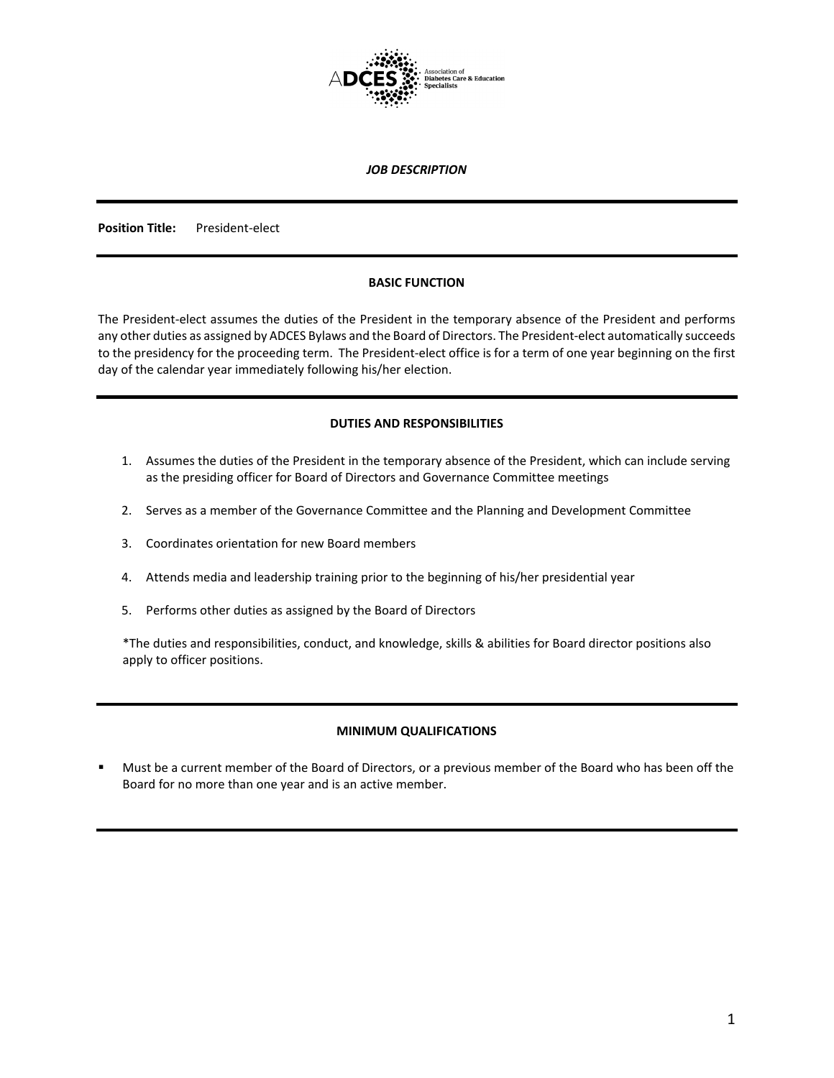

#### *JOB DESCRIPTION*

**Position Title:** President-elect

### **BASIC FUNCTION**

The President-elect assumes the duties of the President in the temporary absence of the President and performs any other duties as assigned by ADCES Bylaws and the Board of Directors. The President-elect automatically succeeds to the presidency for the proceeding term. The President-elect office is for a term of one year beginning on the first day of the calendar year immediately following his/her election.

### **DUTIES AND RESPONSIBILITIES**

- 1. Assumes the duties of the President in the temporary absence of the President, which can include serving as the presiding officer for Board of Directors and Governance Committee meetings
- 2. Serves as a member of the Governance Committee and the Planning and Development Committee
- 3. Coordinates orientation for new Board members
- 4. Attends media and leadership training prior to the beginning of his/her presidential year
- 5. Performs other duties as assigned by the Board of Directors

\*The duties and responsibilities, conduct, and knowledge, skills & abilities for Board director positions also apply to officer positions.

## **MINIMUM QUALIFICATIONS**

 Must be a current member of the Board of Directors, or a previous member of the Board who has been off the Board for no more than one year and is an active member.